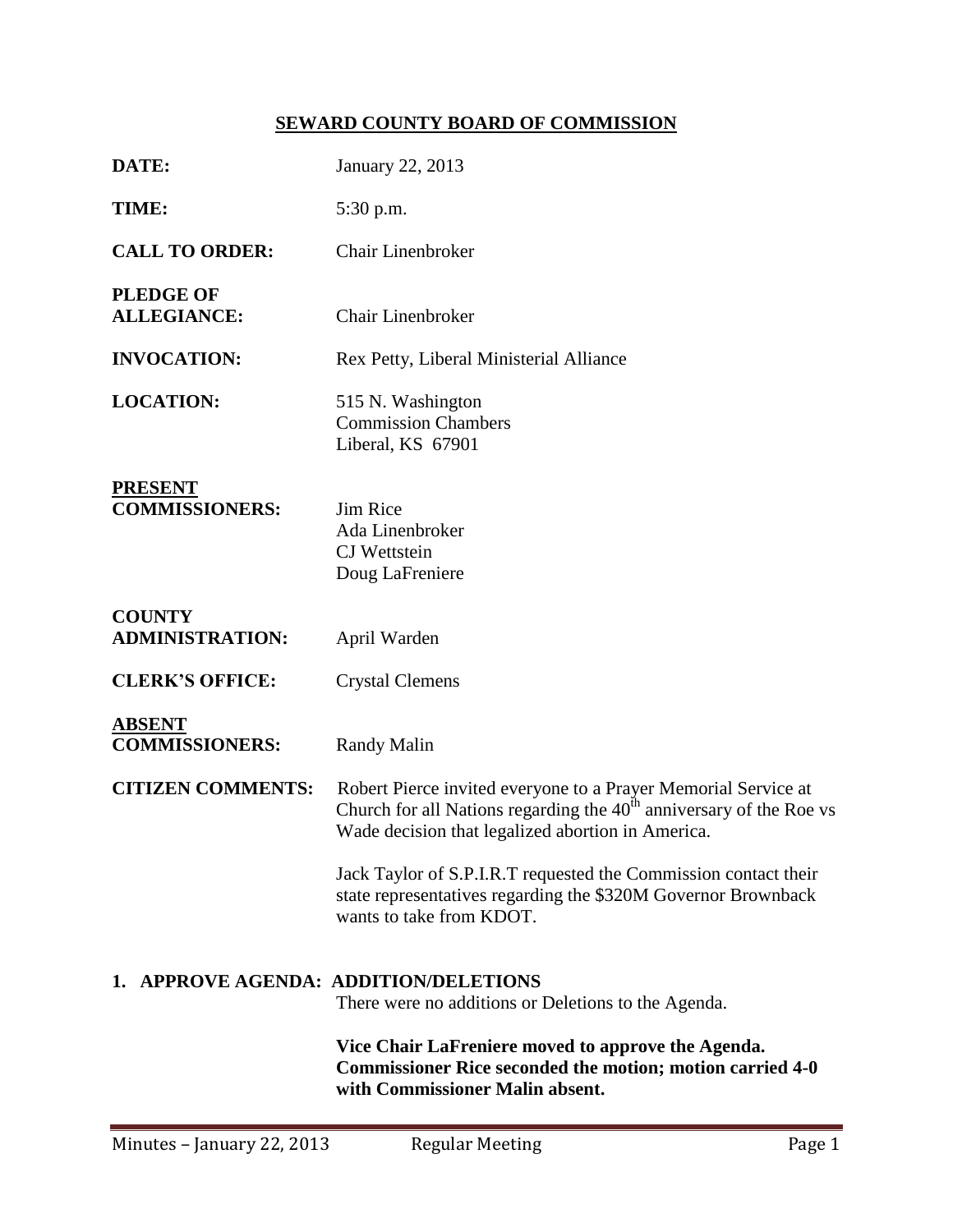# **SEWARD COUNTY BOARD OF COMMISSION**

| DATE:                                                                                        | January 22, 2013                                                                                                                                                                             |  |  |  |
|----------------------------------------------------------------------------------------------|----------------------------------------------------------------------------------------------------------------------------------------------------------------------------------------------|--|--|--|
| TIME:                                                                                        | 5:30 p.m.                                                                                                                                                                                    |  |  |  |
| <b>CALL TO ORDER:</b>                                                                        | <b>Chair Linenbroker</b>                                                                                                                                                                     |  |  |  |
| <b>PLEDGE OF</b><br><b>ALLEGIANCE:</b>                                                       | <b>Chair Linenbroker</b>                                                                                                                                                                     |  |  |  |
| <b>INVOCATION:</b>                                                                           | Rex Petty, Liberal Ministerial Alliance                                                                                                                                                      |  |  |  |
| <b>LOCATION:</b>                                                                             | 515 N. Washington<br><b>Commission Chambers</b><br>Liberal, KS 67901                                                                                                                         |  |  |  |
| <b>PRESENT</b><br><b>COMMISSIONERS:</b>                                                      | Jim Rice<br>Ada Linenbroker<br><b>CJ</b> Wettstein<br>Doug LaFreniere                                                                                                                        |  |  |  |
| <b>COUNTY</b><br><b>ADMINISTRATION:</b>                                                      | April Warden                                                                                                                                                                                 |  |  |  |
| <b>CLERK'S OFFICE:</b>                                                                       | <b>Crystal Clemens</b>                                                                                                                                                                       |  |  |  |
| <b>ABSENT</b><br><b>COMMISSIONERS:</b>                                                       | <b>Randy Malin</b>                                                                                                                                                                           |  |  |  |
| <b>CITIZEN COMMENTS:</b>                                                                     | Robert Pierce invited everyone to a Prayer Memorial Service at<br>Church for all Nations regarding the $40th$ anniversary of the Roe vs<br>Wade decision that legalized abortion in America. |  |  |  |
|                                                                                              | Jack Taylor of S.P.I.R.T requested the Commission contact their<br>state representatives regarding the \$320M Governor Brownback<br>wants to take from KDOT.                                 |  |  |  |
| 1. APPROVE AGENDA: ADDITION/DELETIONS<br>There were no additions or Deletions to the Agenda. |                                                                                                                                                                                              |  |  |  |
|                                                                                              | Vice Chair LaFreniere moved to approve the Agenda.<br><b>Commissioner Rice seconded the motion; motion carried 4-0</b><br>with Commissioner Malin absent.                                    |  |  |  |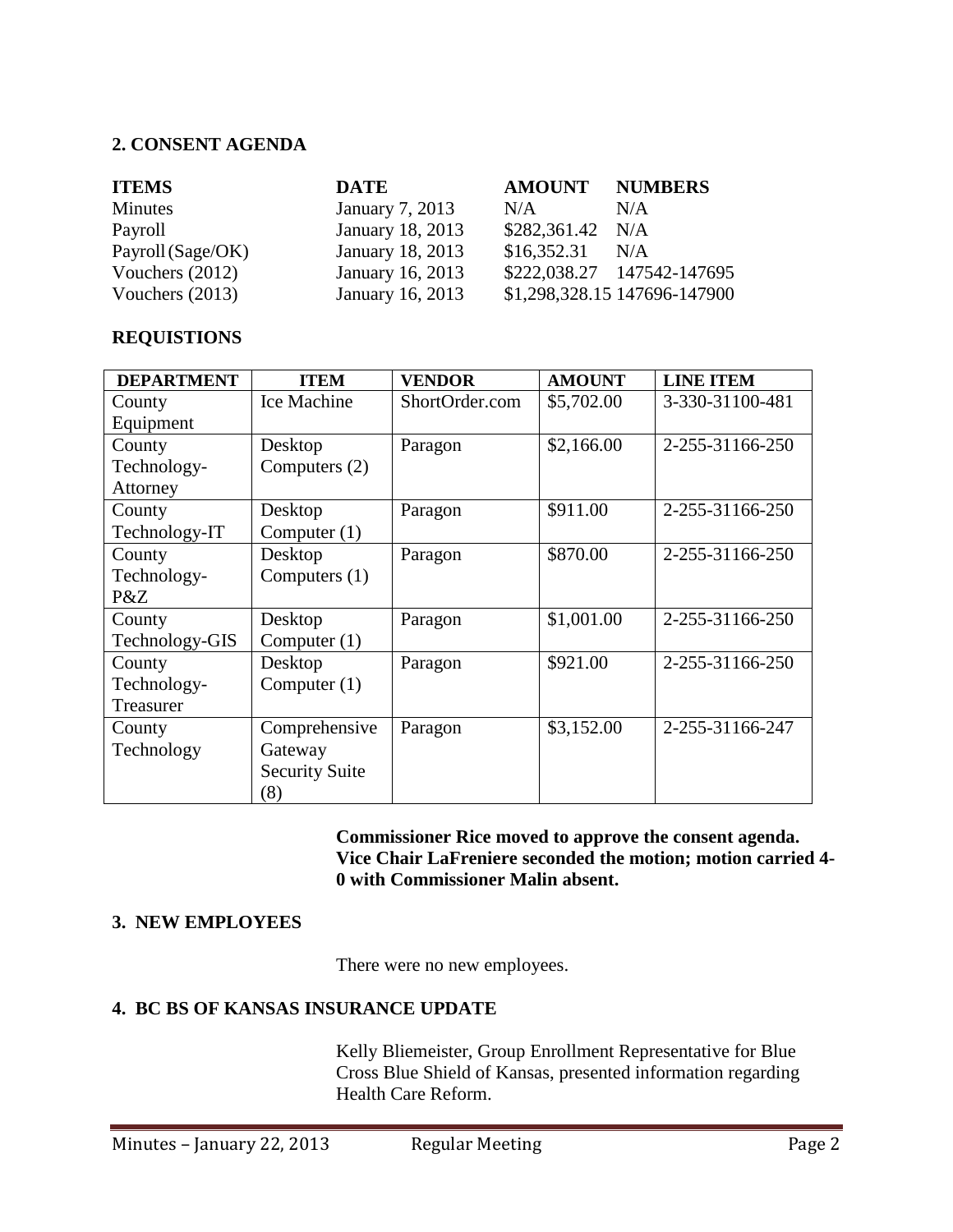#### **2. CONSENT AGENDA**

| <b>ITEMS</b>      | <b>DATE</b>      | <b>AMOUNT NUMBERS</b> |                              |
|-------------------|------------------|-----------------------|------------------------------|
| Minutes           | January 7, 2013  | N/A                   | N/A                          |
| Payroll           | January 18, 2013 | $$282,361.42$ N/A     |                              |
| Payroll (Sage/OK) | January 18, 2013 | $$16,352.31$ N/A      |                              |
| Vouchers $(2012)$ | January 16, 2013 |                       | \$222,038.27 147542-147695   |
| Vouchers $(2013)$ | January 16, 2013 |                       | \$1,298,328.15 147696-147900 |

### **REQUISTIONS**

| <b>DEPARTMENT</b> | <b>ITEM</b>           | <b>VENDOR</b>  | <b>AMOUNT</b> | <b>LINE ITEM</b> |
|-------------------|-----------------------|----------------|---------------|------------------|
| County            | Ice Machine           | ShortOrder.com | \$5,702.00    | 3-330-31100-481  |
| Equipment         |                       |                |               |                  |
| County            | Desktop               | Paragon        | \$2,166.00    | 2-255-31166-250  |
| Technology-       | Computers $(2)$       |                |               |                  |
| Attorney          |                       |                |               |                  |
| County            | Desktop               | Paragon        | \$911.00      | 2-255-31166-250  |
| Technology-IT     | Computer $(1)$        |                |               |                  |
| County            | Desktop               | Paragon        | \$870.00      | 2-255-31166-250  |
| Technology-       | Computers $(1)$       |                |               |                  |
| P&Z               |                       |                |               |                  |
| County            | Desktop               | Paragon        | \$1,001.00    | 2-255-31166-250  |
| Technology-GIS    | Computer $(1)$        |                |               |                  |
| County            | Desktop               | Paragon        | \$921.00      | 2-255-31166-250  |
| Technology-       | Computer $(1)$        |                |               |                  |
| Treasurer         |                       |                |               |                  |
| County            | Comprehensive         | Paragon        | \$3,152.00    | 2-255-31166-247  |
| Technology        | Gateway               |                |               |                  |
|                   | <b>Security Suite</b> |                |               |                  |
|                   | (8)                   |                |               |                  |

**Commissioner Rice moved to approve the consent agenda. Vice Chair LaFreniere seconded the motion; motion carried 4- 0 with Commissioner Malin absent.**

#### **3. NEW EMPLOYEES**

There were no new employees.

#### **4. BC BS OF KANSAS INSURANCE UPDATE**

Kelly Bliemeister, Group Enrollment Representative for Blue Cross Blue Shield of Kansas, presented information regarding Health Care Reform.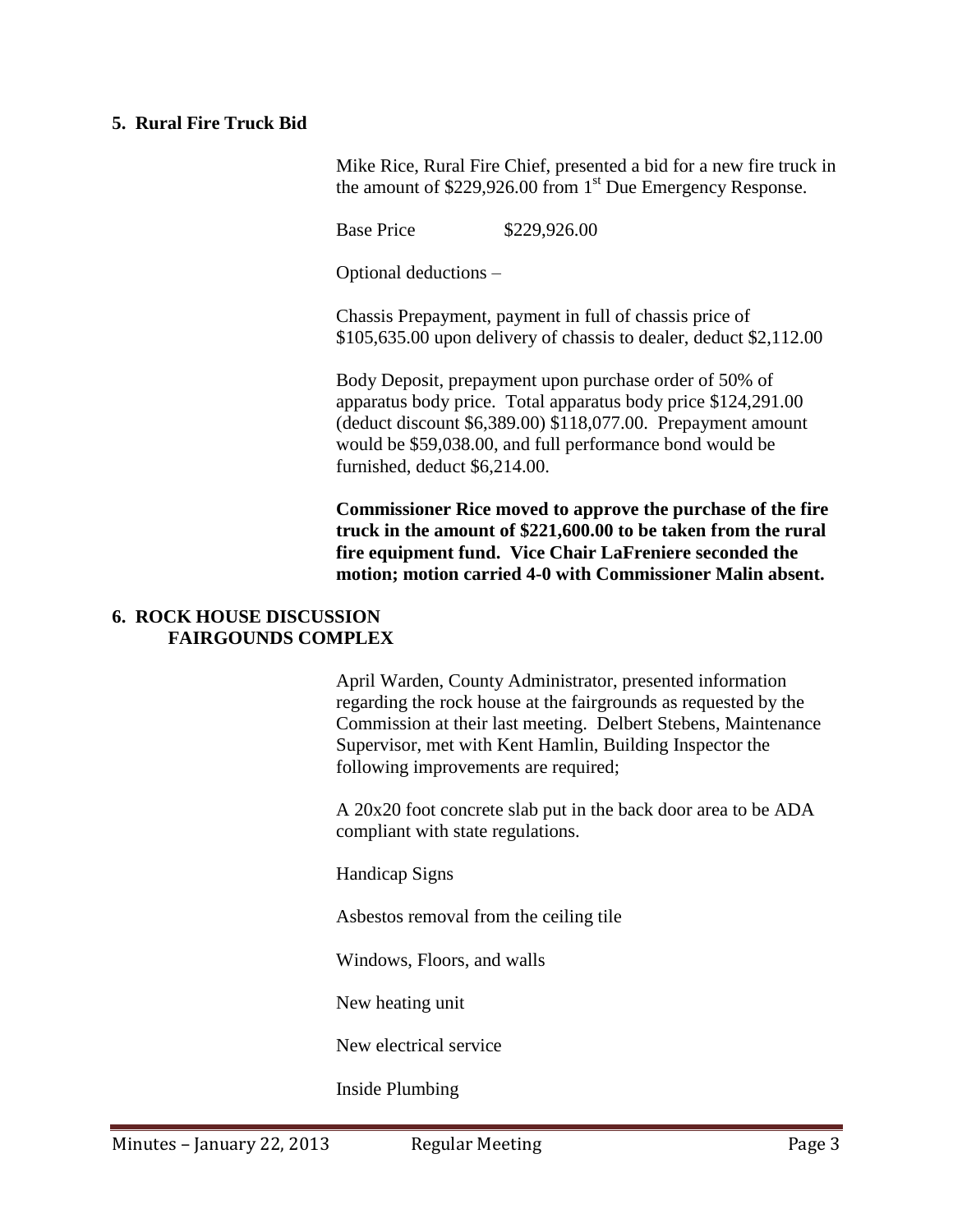#### **5. Rural Fire Truck Bid**

Mike Rice, Rural Fire Chief, presented a bid for a new fire truck in the amount of \$229,926.00 from 1<sup>st</sup> Due Emergency Response.

Base Price \$229,926.00

Optional deductions –

Chassis Prepayment, payment in full of chassis price of \$105,635.00 upon delivery of chassis to dealer, deduct \$2,112.00

Body Deposit, prepayment upon purchase order of 50% of apparatus body price. Total apparatus body price \$124,291.00 (deduct discount \$6,389.00) \$118,077.00. Prepayment amount would be \$59,038.00, and full performance bond would be furnished, deduct \$6,214.00.

**Commissioner Rice moved to approve the purchase of the fire truck in the amount of \$221,600.00 to be taken from the rural fire equipment fund. Vice Chair LaFreniere seconded the motion; motion carried 4-0 with Commissioner Malin absent.** 

#### **6. ROCK HOUSE DISCUSSION FAIRGOUNDS COMPLEX**

April Warden, County Administrator, presented information regarding the rock house at the fairgrounds as requested by the Commission at their last meeting. Delbert Stebens, Maintenance Supervisor, met with Kent Hamlin, Building Inspector the following improvements are required;

A 20x20 foot concrete slab put in the back door area to be ADA compliant with state regulations.

Handicap Signs

Asbestos removal from the ceiling tile

Windows, Floors, and walls

New heating unit

New electrical service

Inside Plumbing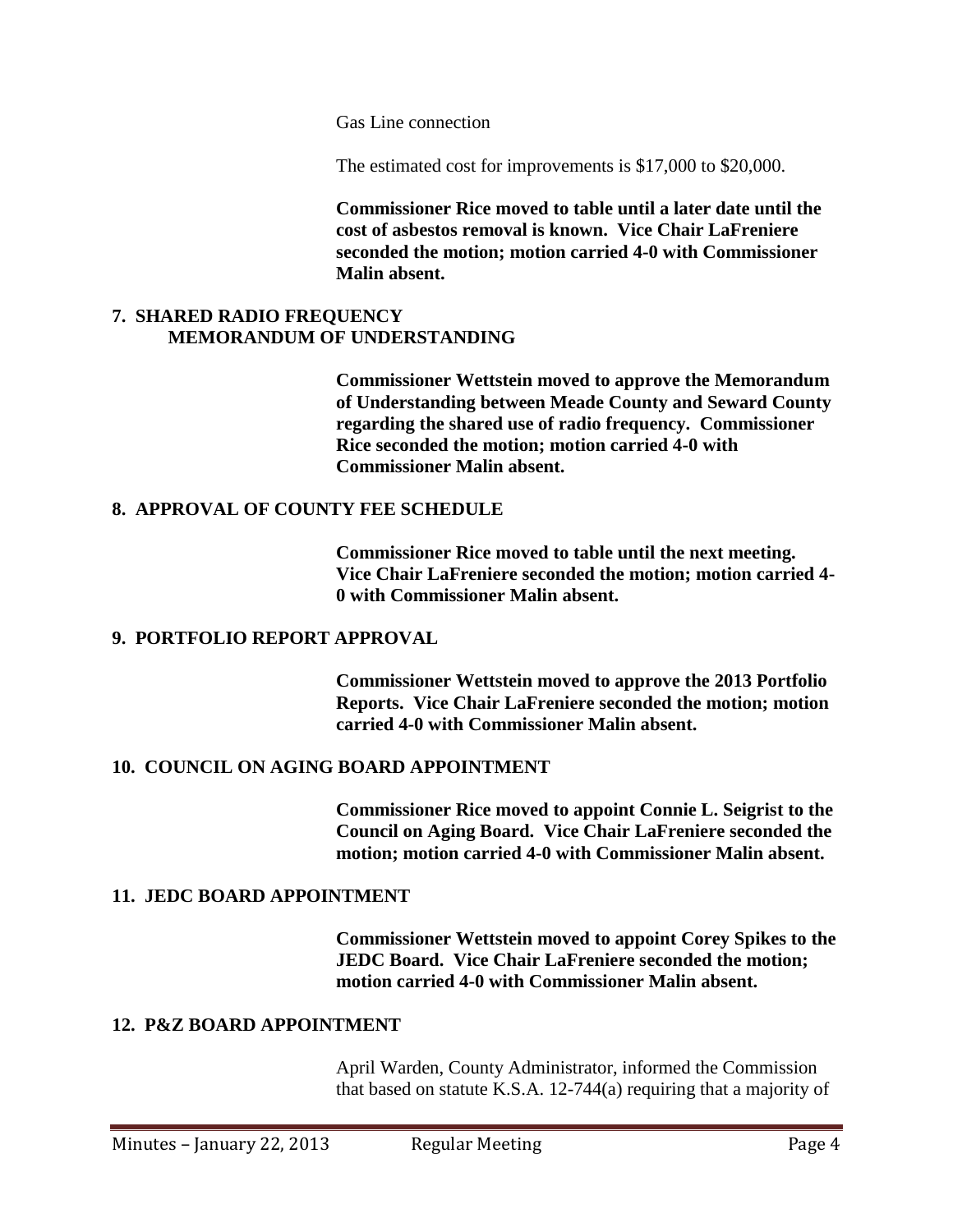Gas Line connection

The estimated cost for improvements is \$17,000 to \$20,000.

**Commissioner Rice moved to table until a later date until the cost of asbestos removal is known. Vice Chair LaFreniere seconded the motion; motion carried 4-0 with Commissioner Malin absent.** 

### **7. SHARED RADIO FREQUENCY MEMORANDUM OF UNDERSTANDING**

**Commissioner Wettstein moved to approve the Memorandum of Understanding between Meade County and Seward County regarding the shared use of radio frequency. Commissioner Rice seconded the motion; motion carried 4-0 with Commissioner Malin absent.** 

#### **8. APPROVAL OF COUNTY FEE SCHEDULE**

**Commissioner Rice moved to table until the next meeting. Vice Chair LaFreniere seconded the motion; motion carried 4- 0 with Commissioner Malin absent.** 

#### **9. PORTFOLIO REPORT APPROVAL**

**Commissioner Wettstein moved to approve the 2013 Portfolio Reports. Vice Chair LaFreniere seconded the motion; motion carried 4-0 with Commissioner Malin absent.** 

#### **10. COUNCIL ON AGING BOARD APPOINTMENT**

**Commissioner Rice moved to appoint Connie L. Seigrist to the Council on Aging Board. Vice Chair LaFreniere seconded the motion; motion carried 4-0 with Commissioner Malin absent.** 

#### **11. JEDC BOARD APPOINTMENT**

**Commissioner Wettstein moved to appoint Corey Spikes to the JEDC Board. Vice Chair LaFreniere seconded the motion; motion carried 4-0 with Commissioner Malin absent.** 

#### **12. P&Z BOARD APPOINTMENT**

April Warden, County Administrator, informed the Commission that based on statute K.S.A. 12-744(a) requiring that a majority of